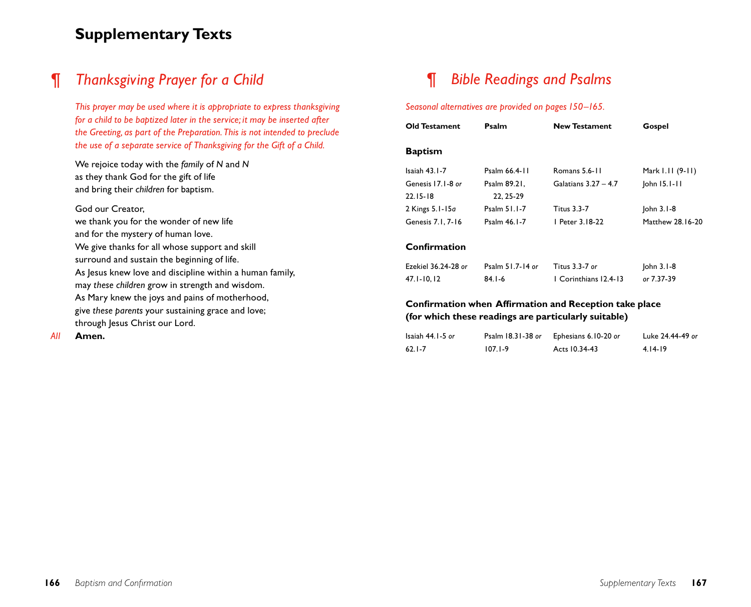# **Supplementary Texts**

# ¶ *Thanksgiving Prayer for a Child*

*This prayer may be used where it is appropriate to express thanksgiving for a child to be baptized later in the service; it may be inserted after the Greeting, as part of the Preparation. This is not intended to preclude the use of a separate service of Thanksgiving for the Gift of a Child.*

We rejoice today with the *family* of *N* and *N* as they thank God for the gift of life and bring their *children* for baptism.

#### God our Creator,

we thank you for the wonder of new life and for the mystery of human love. We give thanks for all whose support and skill surround and sustain the beginning of life. As Jesus knew love and discipline within a human family, may *these children* grow in strength and wisdom. As Mary knew the joys and pains of motherhood, give *these parents* your sustaining grace and love; through Jesus Christ our Lord.

*All* **Amen.**

# *¶ Bible Readings and Psalms*

## *Seasonal alternatives are provided on pages 150–165.*

| <b>Old Testament</b> | Psalm         | <b>New Testament</b>   | Gospel            |
|----------------------|---------------|------------------------|-------------------|
|                      |               |                        |                   |
| <b>Baptism</b>       |               |                        |                   |
| Isaiah $43.1 - 7$    | Psalm 66.4-11 | Romans 5.6-11          | Mark $1.11(9-11)$ |
| Genesis 17.1-8 or    | Psalm 89.21.  | Galatians $3.27 - 4.7$ | $John I5.I-II$    |
| $22.15 - 18$         | 22.25-29      |                        |                   |
| 2 Kings 5.1-15a      | Psalm 51.1-7  | <b>Titus 3.3-7</b>     | $John 3.1-8$      |
| Genesis 7.1, 7-16    | Psalm 46.1-7  | I Peter 3.18-22        | Matthew 28.16-20  |
|                      |               |                        |                   |

## **Confirmation**

| Ezekiel 36.24-28 or | Psalm 51.7-14 or | Titus 3.3-7 or        | John 3.1-8 |
|---------------------|------------------|-----------------------|------------|
| 47.1-10.12          | 84.1-6           | 1 Corinthians 12.4-13 | or 7.37-39 |

## **Confirmation when Affirmation and Reception take place (for which these readings are particularly suitable)**

| Isaiah 44.1-5 or | Psalm 18.31-38 or | Ephesians 6.10-20 or | Luke 24.44-49 or |
|------------------|-------------------|----------------------|------------------|
| $62.1 - 7$       | $107.1 - 9$       | Acts 10.34-43        | 4.14-19          |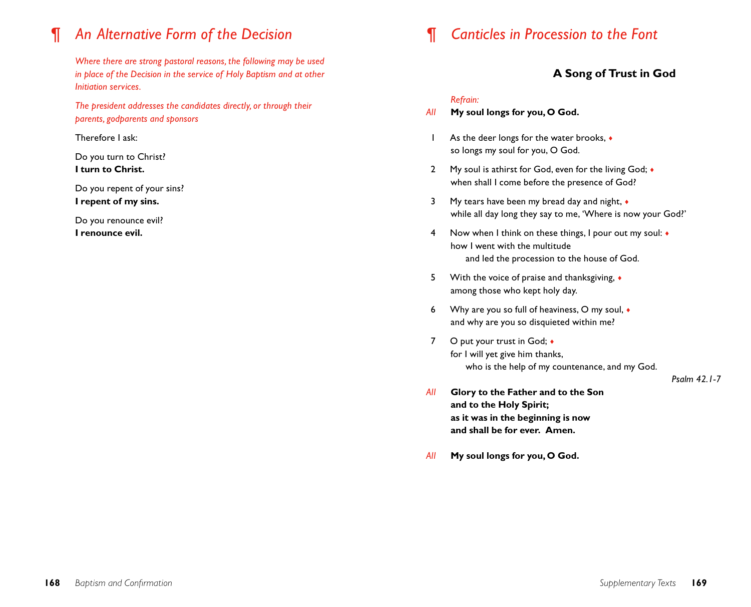# ¶ *An Alternative Form of the Decision*

*Where there are strong pastoral reasons, the following may be used in place of the Decision in the service of Holy Baptism and at other Initiation services.*

*The president addresses the candidates directly, or through their parents, godparents and sponsors*

Therefore I ask:

Do you turn to Christ? **I turn to Christ.**

Do you repent of your sins? **I repent of my sins.**

Do you renounce evil? **I renounce evil.**

# *¶ Canticles in Procession to the Font*

## **A Song of Trust in God**

## *Refrain:*

- *All* **My soul longs for you, O God.**
- 1 As the deer longs for the water brooks, ♦ so longs my soul for you, O God.
- 2 My soul is athirst for God, even for the living God;  $\bullet$ when shall I come before the presence of God?
- 3 My tears have been my bread day and night, ♦ while all day long they say to me, 'Where is now your God?'
- 4 Now when I think on these things, I pour out my soul: ♦ how I went with the multitude and led the procession to the house of God.
- 5 With the voice of praise and thanksgiving, ♦ among those who kept holy day.
- 6 Why are you so full of heaviness, O my soul, ♦ and why are you so disquieted within me?
- 7 O put your trust in God; ♦ for I will yet give him thanks, who is the help of my countenance, and my God.

*Psalm 42.1-7*

- *All* **Glory to the Father and to the Son and to the Holy Spirit; as it was in the beginning is now and shall be for ever. Amen.**
- *All* **My soul longs for you, O God.**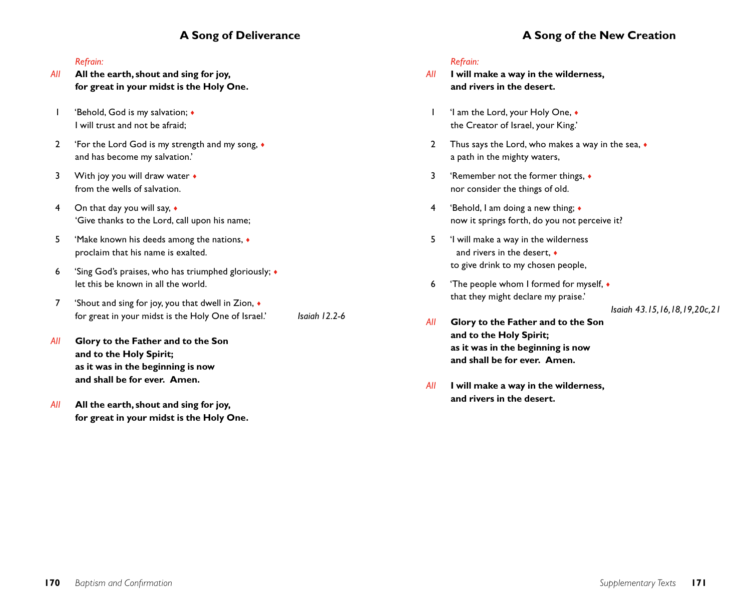## *Refrain:*

- *All* **All the earth, shout and sing for joy, for great in your midst is the Holy One.**
- 1 'Behold, God is my salvation; ♦ I will trust and not be afraid;
- 2 'For the Lord God is my strength and my song, ♦ and has become my salvation.'
- 3 With joy you will draw water  $\bullet$ from the wells of salvation.
- 4 On that day you will say, ♦ 'Give thanks to the Lord, call upon his name;
- 5 'Make known his deeds among the nations, ♦ proclaim that his name is exalted.
- 6 'Sing God's praises, who has triumphed gloriously; ♦ let this be known in all the world.
- 7 'Shout and sing for joy, you that dwell in Zion, ♦ for great in your midst is the Holy One of Israel.' *Isaiah 12.2-6*
- *All* **Glory to the Father and to the Son and to the Holy Spirit; as it was in the beginning is now and shall be for ever. Amen.**
- *All* **All the earth, shout and sing for joy, for great in your midst is the Holy One.**

## *Refrain:*

- *All* **I will make a way in the wilderness, and rivers in the desert.** 1 'I am the Lord, your Holy One,  $\bullet$ the Creator of Israel, your King.' 2 Thus says the Lord, who makes a way in the sea,  $\bullet$ a path in the mighty waters, 3 'Remember not the former things, ♦ nor consider the things of old. 4 'Behold, I am doing a new thing; ♦ now it springs forth, do you not perceive it? 5 'I will make a way in the wilderness and rivers in the desert, ♦ to give drink to my chosen people, 6 'The people whom I formed for myself, ♦ that they might declare my praise.' *Isaiah 43.15,16,18,19,20c,21 All* **Glory to the Father and to the Son and to the Holy Spirit; as it was in the beginning is now**
- *All* **I will make a way in the wilderness, and rivers in the desert.**

**and shall be for ever. Amen.**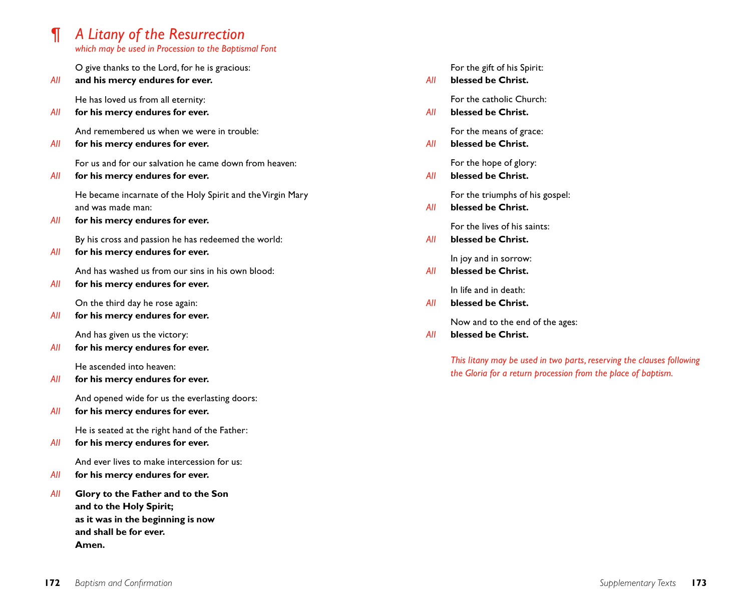# ¶ *A Litany of the Resurrection*

*which may be used in Procession to the Baptismal Font*

O give thanks to the Lord, for he is gracious:

*All* **and his mercy endures for ever.**

He has loved us from all eternity:

*All* **for his mercy endures for ever.**

And remembered us when we were in trouble:

*All* **for his mercy endures for ever.**

For us and for our salvation he came down from heaven:

*All* **for his mercy endures for ever.**

He became incarnate of the Holy Spirit and the Virgin Mary and was made man:

*All* **for his mercy endures for ever.**

By his cross and passion he has redeemed the world:

*All* **for his mercy endures for ever.**

And has washed us from our sins in his own blood:

*All* **for his mercy endures for ever.**

On the third day he rose again:

*All* **for his mercy endures for ever.**

And has given us the victory:

*All* **for his mercy endures for ever.**

He ascended into heaven:

*All* **for his mercy endures for ever.**

And opened wide for us the everlasting doors:

*All* **for his mercy endures for ever.**

He is seated at the right hand of the Father:

*All* **for his mercy endures for ever.**

And ever lives to make intercession for us:

- *All* **for his mercy endures for ever.**
- *All* **Glory to the Father and to the Son and to the Holy Spirit; as it was in the beginning is now and shall be for ever. Amen.**

For the gift of his Spirit: *All* **blessed be Christ.** For the catholic Church: *All* **blessed be Christ.** For the means of grace: *All* **blessed be Christ.** For the hope of glory: *All* **blessed be Christ.** For the triumphs of his gospel: *All* **blessed be Christ.** For the lives of his saints: *All* **blessed be Christ.** In joy and in sorrow: *All* **blessed be Christ.** In life and in death: *All* **blessed be Christ.**

Now and to the end of the ages:

*All* **blessed be Christ.**

*This litany may be used in two parts, reserving the clauses following the Gloria for a return procession from the place of baptism.*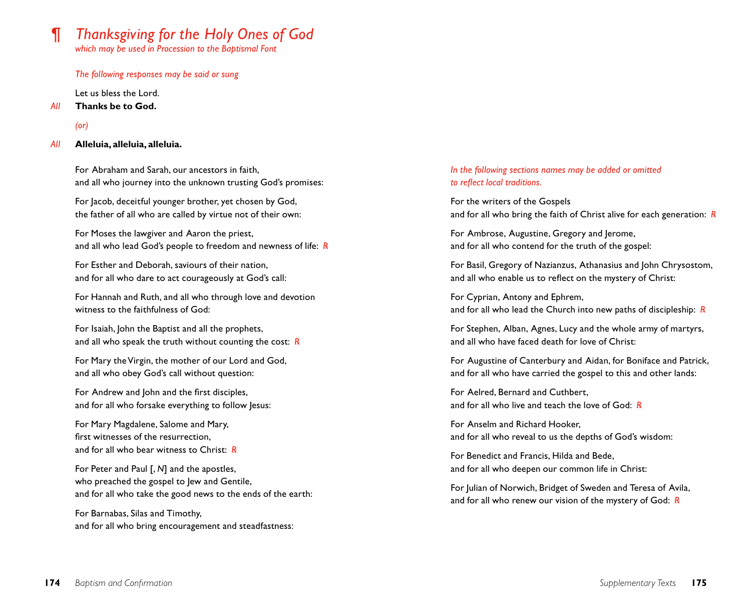# *¶ Thanksgiving for the Holy Ones of God*

*which may be used in Procession to the Baptismal Font*

*The following responses may be said or sung*

Let us bless the Lord.

*All* **Thanks be to God.**

*(or)*

*All* **Alleluia, alleluia, alleluia.**

For Abraham and Sarah, our ancestors in faith, and all who journey into the unknown trusting God's promises:

For Jacob, deceitful younger brother, yet chosen by God, the father of all who are called by virtue not of their own:

For Moses the lawgiver and Aaron the priest, and all who lead God's people to freedom and newness of life: *R*

For Esther and Deborah, saviours of their nation, and for all who dare to act courageously at God's call:

For Hannah and Ruth, and all who through love and devotion witness to the faithfulness of God:

For Isaiah, John the Baptist and all the prophets, and all who speak the truth without counting the cost: *R*

For Mary the Virgin, the mother of our Lord and God, and all who obey God's call without question:

For Andrew and John and the first disciples, and for all who forsake everything to follow Jesus:

For Mary Magdalene, Salome and Mary, first witnesses of the resurrection, and for all who bear witness to Christ: *R*

For Peter and Paul [, *N*] and the apostles, who preached the gospel to Jew and Gentile, and for all who take the good news to the ends of the earth:

For Barnabas, Silas and Timothy, and for all who bring encouragement and steadfastness:

## *In the following sections names may be added or omitted to reflect local traditions.*

For the writers of the Gospels and for all who bring the faith of Christ alive for each generation: *R*

For Ambrose, Augustine, Gregory and Jerome, and for all who contend for the truth of the gospel:

For Basil, Gregory of Nazianzus, Athanasius and John Chrysostom, and all who enable us to reflect on the mystery of Christ:

For Cyprian, Antony and Ephrem, and for all who lead the Church into new paths of discipleship: *R*

For Stephen, Alban, Agnes, Lucy and the whole army of martyrs, and all who have faced death for love of Christ:

For Augustine of Canterbury and Aidan, for Boniface and Patrick, and for all who have carried the gospel to this and other lands:

For Aelred, Bernard and Cuthbert, and for all who live and teach the love of God: *R*

For Anselm and Richard Hooker, and for all who reveal to us the depths of God's wisdom:

For Benedict and Francis, Hilda and Bede, and for all who deepen our common life in Christ:

For Julian of Norwich, Bridget of Sweden and Teresa of Avila, and for all who renew our vision of the mystery of God: *R*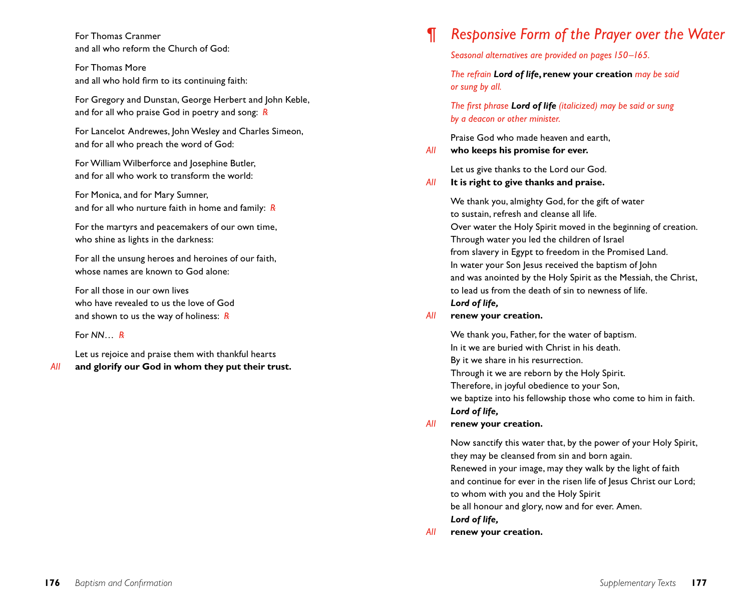For Thomas Cranmer and all who reform the Church of God:

For Thomas More and all who hold firm to its continuing faith:

For Gregory and Dunstan, George Herbert and John Keble, and for all who praise God in poetry and song: *R*

For Lancelot Andrewes, John Wesley and Charles Simeon, and for all who preach the word of God:

For William Wilberforce and Iosephine Butler, and for all who work to transform the world:

For Monica, and for Mary Sumner, and for all who nurture faith in home and family: *R*

For the martyrs and peacemakers of our own time, who shine as lights in the darkness:

For all the unsung heroes and heroines of our faith, whose names are known to God alone:

For all those in our own lives who have revealed to us the love of God and shown to us the way of holiness: *R*

For *NN*… *R*

Let us rejoice and praise them with thankful hearts

*All* **and glorify our God in whom they put their trust.**

# *¶ Responsive Form of the Prayer over the Water*

*Seasonal alternatives are provided on pages 150–165.*

*The refrain Lord of life***, renew your creation** *may be said or sung by all.*

*The first phrase Lord of life (italicized) may be said or sung by a deacon or other minister.*

Praise God who made heaven and earth

*All* **who keeps his promise for ever.**

Let us give thanks to the Lord our God.

## *All* **It is right to give thanks and praise.**

We thank you, almighty God, for the gift of water to sustain, refresh and cleanse all life. Over water the Holy Spirit moved in the beginning of creation. Through water you led the children of Israel from slavery in Egypt to freedom in the Promised Land. In water your Son Jesus received the baptism of John and was anointed by the Holy Spirit as the Messiah, the Christ, to lead us from the death of sin to newness of life. *Lord of life,*

## *All* **renew your creation.**

We thank you, Father, for the water of baptism. In it we are buried with Christ in his death. By it we share in his resurrection. Through it we are reborn by the Holy Spirit. Therefore, in joyful obedience to your Son, we baptize into his fellowship those who come to him in faith.

*Lord of life,*

## *All* **renew your creation.**

Now sanctify this water that, by the power of your Holy Spirit, they may be cleansed from sin and born again. Renewed in your image, may they walk by the light of faith and continue for ever in the risen life of Jesus Christ our Lord; to whom with you and the Holy Spirit be all honour and glory, now and for ever. Amen. *Lord of life,*

*All* **renew your creation.**